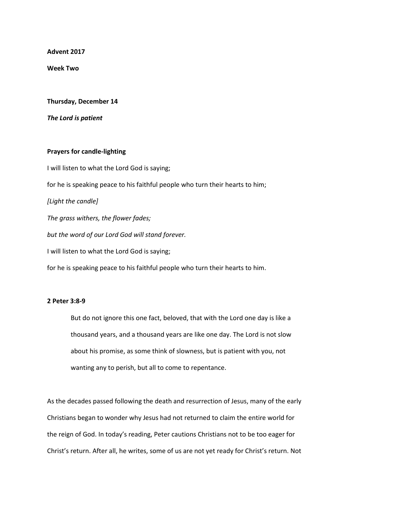**Advent 2017**

**Week Two**

**Thursday, December 14**

*The Lord is patient*

## **Prayers for candle-lighting**

I will listen to what the Lord God is saying; for he is speaking peace to his faithful people who turn their hearts to him; *[Light the candle] The grass withers, the flower fades; but the word of our Lord God will stand forever.* I will listen to what the Lord God is saying; for he is speaking peace to his faithful people who turn their hearts to him.

## **2 Peter 3:8-9**

But do not ignore this one fact, beloved, that with the Lord one day is like a thousand years, and a thousand years are like one day. The Lord is not slow about his promise, as some think of slowness, but is patient with you, not wanting any to perish, but all to come to repentance.

As the decades passed following the death and resurrection of Jesus, many of the early Christians began to wonder why Jesus had not returned to claim the entire world for the reign of God. In today's reading, Peter cautions Christians not to be too eager for Christ's return. After all, he writes, some of us are not yet ready for Christ's return. Not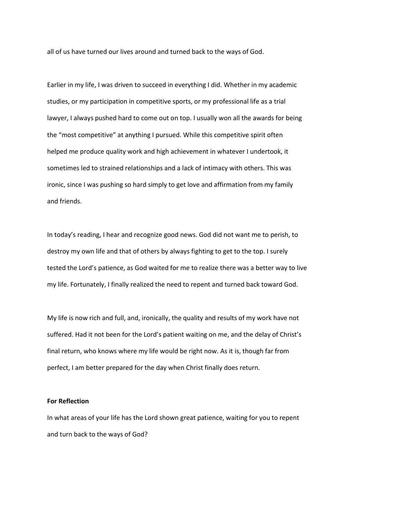all of us have turned our lives around and turned back to the ways of God.

Earlier in my life, I was driven to succeed in everything I did. Whether in my academic studies, or my participation in competitive sports, or my professional life as a trial lawyer, I always pushed hard to come out on top. I usually won all the awards for being the "most competitive" at anything I pursued. While this competitive spirit often helped me produce quality work and high achievement in whatever I undertook, it sometimes led to strained relationships and a lack of intimacy with others. This was ironic, since I was pushing so hard simply to get love and affirmation from my family and friends.

In today's reading, I hear and recognize good news. God did not want me to perish, to destroy my own life and that of others by always fighting to get to the top. I surely tested the Lord's patience, as God waited for me to realize there was a better way to live my life. Fortunately, I finally realized the need to repent and turned back toward God.

My life is now rich and full, and, ironically, the quality and results of my work have not suffered. Had it not been for the Lord's patient waiting on me, and the delay of Christ's final return, who knows where my life would be right now. As it is, though far from perfect, I am better prepared for the day when Christ finally does return.

## **For Reflection**

In what areas of your life has the Lord shown great patience, waiting for you to repent and turn back to the ways of God?